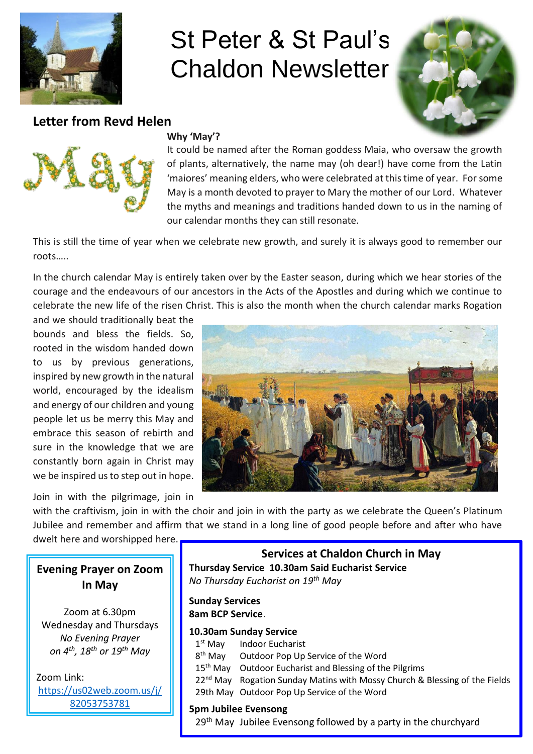

# St Peter & St Paul's Chaldon Newsletter



### **Letter from Revd Helen**



### **Why 'May'?**

It could be named after the Roman goddess Maia, who oversaw the growth of plants, alternatively, the name may (oh dear!) have come from the Latin 'maiores' meaning elders, who were celebrated at this time of year. For some May is a month devoted to prayer to Mary the mother of our Lord. Whatever the myths and meanings and traditions handed down to us in the naming of our calendar months they can still resonate.

This is still the time of year when we celebrate new growth, and surely it is always good to remember our roots…..

In the church calendar May is entirely taken over by the Easter season, during which we hear stories of the courage and the endeavours of our ancestors in the Acts of the Apostles and during which we continue to celebrate the new life of the risen Christ. This is also the month when the church calendar marks Rogation

and we should traditionally beat the bounds and bless the fields. So, rooted in the wisdom handed down to us by previous generations, inspired by new growth in the natural world, encouraged by the idealism and energy of our children and young people let us be merry this May and embrace this season of rebirth and sure in the knowledge that we are constantly born again in Christ may we be inspired us to step out in hope.

Join in with the pilgrimage, join in



with the craftivism, join in with the choir and join in with the party as we celebrate the Queen's Platinum Jubilee and remember and affirm that we stand in a long line of good people before and after who have

dwelt here and worshipped here.

## **Evening Prayer on Zoom In May**

Zoom at 6.30pm Wednesday and Thursdays *No Evening Prayer on 4th, 18th or 19th May*

Zoom Link: [https://us02web.zoom.us/j/](https://us02web.zoom.us/j/82053753781) [82053753781](https://us02web.zoom.us/j/82053753781)

**Services at Chaldon Church in May Thursday Service 10.30am Said Eucharist Service** *No Thursday Eucharist on 19th May*

**Sunday Services 8am BCP Service**.

#### **10.30am Sunday Service**

 $1<sup>st</sup>$  May **Indoor Eucharist** 8<sup>th</sup> May Outdoor Pop Up Service of the Word 15<sup>th</sup> May Outdoor Eucharist and Blessing of the Pilgrims 22<sup>nd</sup> May Rogation Sunday Matins with Mossy Church & Blessing of the Fields 29th May Outdoor Pop Up Service of the Word

### **5pm Jubilee Evensong**

29<sup>th</sup> May Jubilee Evensong followed by a party in the churchyard